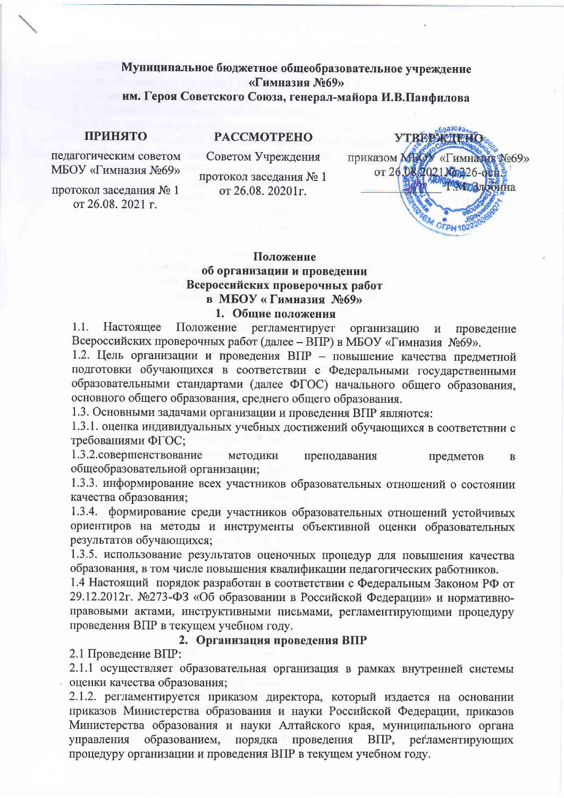# Муниципальное бюджетное общеобразовательное учреждение «Гимназия №69» им. Героя Советского Союза, генерал-майора И.В.Панфилова

#### **ПРИНЯТО**

**PACCMOTPEHO** 

педагогическим советом МБОУ «Гимназия №69»

протокол заседания № 1 от 26.08. 2021 г.

Советом Учреждения

протокол заседания № 1 от 26.08. 20201 г.



# Положение об организации и проведении Всероссийских проверочных работ в МБОУ «Гимназия №69»

#### 1. Общие положения

 $1.1.$ Настояшее Положение регламентирует организацию проведение  $\overline{M}$ Всероссийских проверочных работ (далее – ВПР) в МБОУ «Гимназия №69».

1.2. Цель организации и проведения ВПР - повышение качества предметной подготовки обучающихся в соответствии с Федеральными государственными образовательными стандартами (далее ФГОС) начального общего образования. основного общего образования, среднего общего образования.

1.3. Основными задачами организации и проведения ВПР являются:

1.3.1. оценка индивидуальных учебных достижений обучающихся в соответствии с требованиями ФГОС;

1.3.2. совершенствование методики преподавания предметов  $\mathbf B$ общеобразовательной организации;

1.3.3. информирование всех участников образовательных отношений о состоянии качества образования;

1.3.4. формирование среди участников образовательных отношений устойчивых ориентиров на методы и инструменты объективной оценки образовательных результатов обучающихся;

1.3.5. использование результатов оценочных процедур для повышения качества образования, в том числе повышения квалификации педагогических работников.

1.4 Настоящий порядок разработан в соответствии с Федеральным Законом РФ от 29.12.2012г. №273-ФЗ «Об образовании в Российской Федерации» и нормативноправовыми актами, инструктивными письмами, регламентирующими процедуру проведения ВПР в текущем учебном году.

### 2. Организация проведения ВПР

2.1 Проведение ВПР:

2.1.1 осуществляет образовательная организация в рамках внутренней системы оценки качества образования;

2.1.2. регламентируется приказом директора, который издается на основании приказов Министерства образования и науки Российской Федерации, приказов Министерства образования и науки Алтайского края, муниципального органа управления образованием, порядка проведения  $B\Pi P$ , регламентирующих процедуру организации и проведения ВПР в текущем учебном году.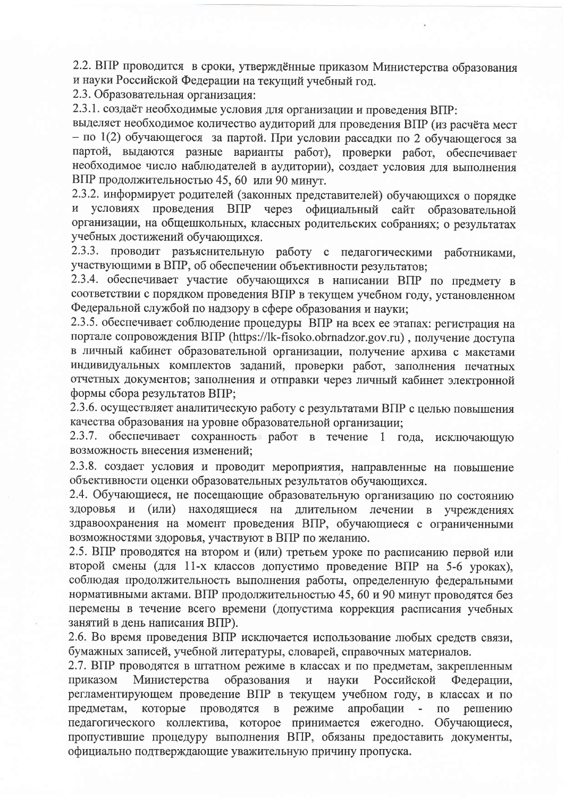2.2. ВПР проводится в сроки, утверждённые приказом Министерства образования и науки Российской Федерации на текущий учебный год.

2.3. Образовательная организация:

2.3.1. создаёт необходимые условия для организации и проведения ВПР:

выделяет необходимое количество аудиторий для проведения ВПР (из расчёта мест - по 1(2) обучающегося за партой. При условии рассадки по 2 обучающегося за партой, выдаются разные варианты работ), проверки работ, обеспечивает необходимое число наблюдателей в аудитории), создает условия для выполнения ВПР продолжительностью 45, 60 или 90 минут.

2.3.2. информирует родителей (законных представителей) обучающихся о порядке и условиях проведения ВПР через официальный сайт образовательной организации, на общешкольных, классных родительских собраниях; о результатах учебных достижений обучающихся.

2.3.3. проводит разъяснительную работу с педагогическими работниками, участвующими в ВПР, об обеспечении объективности результатов;

2.3.4. обеспечивает участие обучающихся в написании ВПР по предмету в соответствии с порядком проведения ВПР в текущем учебном году, установленном Федеральной службой по надзору в сфере образования и науки;

2.3.5. обеспечивает соблюдение процедуры ВПР на всех ее этапах: регистрация на портале сопровождения BIIP (https://lk-fisoko.obrnadzor.gov.ru), получение доступа в личный кабинет образовательной организации, получение архива с макетами индивидуальных комплектов заданий, проверки работ, заполнения печатных отчетных документов; заполнения и отправки через личный кабинет электронной формы сбора результатов ВПР:

2.3.6. осуществляет аналитическую работу с результатами ВПР с целью повышения качества образования на уровне образовательной организации:

2.3.7. обеспечивает сохранность работ в течение 1 года, исключающую возможность внесения изменений;

2.3.8. создает условия и проводит мероприятия, направленные на повышение объективности оценки образовательных результатов обучающихся.

2.4. Обучающиеся, не посещающие образовательную организацию по состоянию здоровья и (или) находящиеся на длительном лечении в учреждениях здравоохранения на момент проведения ВПР, обучающиеся с ограниченными возможностями здоровья, участвуют в ВПР по желанию.

2.5. ВПР проводятся на втором и (или) третьем уроке по расписанию первой или второй смены (для 11-х классов допустимо проведение ВПР на 5-6 уроках). соблюдая продолжительность выполнения работы, определенную федеральными нормативными актами. ВПР продолжительностью 45, 60 и 90 минут проводятся без перемены в течение всего времени (допустима коррекция расписания учебных занятий в день написания ВПР).

2.6. Во время проведения ВПР исключается использование любых средств связи, бумажных записей, учебной литературы, словарей, справочных материалов.

2.7. ВПР проводятся в штатном режиме в классах и по предметам, закрепленным Министерства образования приказом  $\mathbf{M}$ науки Российской Федерации. регламентирующем проведение ВПР в текущем учебном году, в классах и по которые проводятся режиме апробации - по предметам,  $\, {\bf B}$ решению педагогического коллектива, которое принимается ежегодно. Обучающиеся, пропустившие процедуру выполнения ВПР, обязаны предоставить документы, официально подтверждающие уважительную причину пропуска.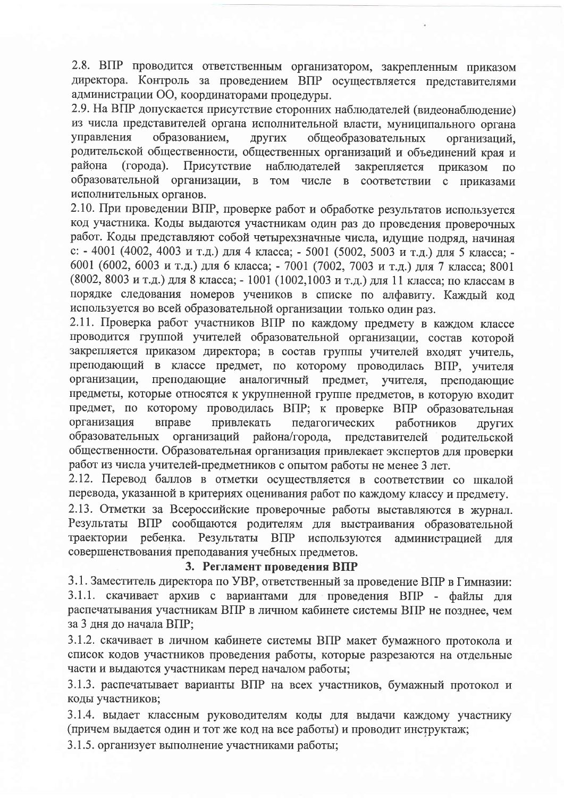2.8. ВПР проводится ответственным организатором, закрепленным приказом директора. Контроль за проведением ВПР осуществляется представителями администрации ОО, координаторами процедуры.

2.9. На ВПР допускается присутствие сторонних наблюдателей (видеонаблюдение) из числа представителей органа исполнительной власти, муниципального органа управления образованием. Других общеобразовательных организаций, родительской общественности, общественных организаций и объединений края и  $($ горола). Присутствие района наблюдателей закрепляется приказом  $\overline{10}$ образовательной организации, в том числе в соответствии с приказами исполнительных органов.

2.10. При проведении ВПР, проверке работ и обработке результатов используется код участника. Коды выдаются участникам один раз до проведения проверочных работ. Коды представляют собой четырехзначные числа, идущие подряд, начиная с: - 4001 (4002, 4003 и т.д.) для 4 класса; - 5001 (5002, 5003 и т.д.) для 5 класса; -6001 (6002, 6003 и т.д.) для 6 класса; - 7001 (7002, 7003 и т.д.) для 7 класса; 8001 (8002, 8003 и т.д.) для 8 класса; - 1001 (1002, 1003 и т.д.) для 11 класса; по классам в порядке следования номеров учеников в списке по алфавиту. Каждый код используется во всей образовательной организации только один раз.

2.11. Проверка работ участников ВПР по каждому предмету в каждом классе проводится группой учителей образовательной организации, состав которой закрепляется приказом директора; в состав группы учителей входят учитель, преподающий в классе предмет, по которому проводилась ВПР, учителя преподающие аналогичный предмет, учителя, организации. преполающие предметы, которые относятся к укрупненной группе предметов, в которую входит предмет, по которому проводилась ВПР; к проверке ВПР образовательная организация вправе привлекать педагогических работников ДРУГИХ организаций района/города, образовательных представителей родительской общественности. Образовательная организация привлекает экспертов для проверки работ из числа учителей-предметников с опытом работы не менее 3 лет.

2.12. Перевод баллов в отметки осуществляется в соответствии со шкалой перевода, указанной в критериях оценивания работ по каждому классу и предмету.

2.13. Отметки за Всероссийские проверочные работы выставляются в журнал. Результаты ВПР сообщаются родителям для выстраивания образовательной траектории ребенка. Результаты ВПР используются администрацией ЛЛЯ совершенствования преподавания учебных предметов.

## 3. Регламент проведения ВПР

3.1. Заместитель директора по УВР, ответственный за проведение ВПР в Гимназии: 3.1.1. скачивает архив с вариантами для проведения ВПР - файлы для распечатывания участникам ВПР в личном кабинете системы ВПР не позднее, чем за 3 дня до начала ВПР;

3.1.2. скачивает в личном кабинете системы ВПР макет бумажного протокола и список кодов участников проведения работы, которые разрезаются на отдельные части и выдаются участникам перед началом работы;

3.1.3. распечатывает варианты ВПР на всех участников, бумажный протокол и коды участников;

3.1.4. выдает классным руководителям коды для выдачи каждому участнику (причем выдается один и тот же код на все работы) и проводит инструктаж;

3.1.5. организует выполнение участниками работы;